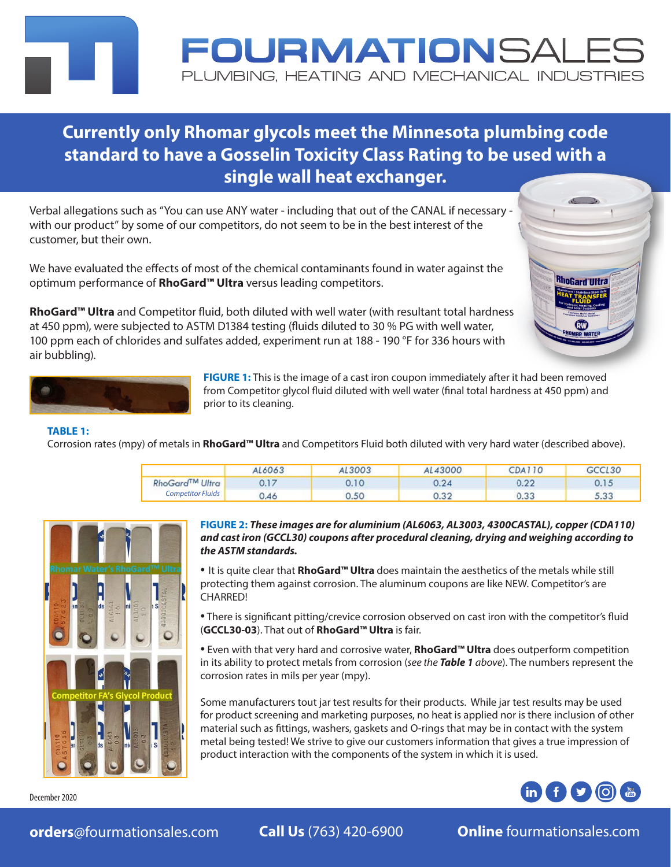## **Currently only Rhomar glycols meet the Minnesota plumbing code standard to have a Gosselin Toxicity Class Rating to be used with a single wall heat exchanger.**

Verbal allegations such as "You can use ANY water - including that out of the CANAL if necessary with our product" by some of our competitors, do not seem to be in the best interest of the customer, but their own.

We have evaluated the effects of most of the chemical contaminants found in water against the optimum performance of **RhoGard™ Ultra** versus leading competitors.

**RhoGard™ Ultra** and Competitor fluid, both diluted with well water (with resultant total hardness at 450 ppm), were subjected to ASTM D1384 testing (fluids diluted to 30 % PG with well water, 100 ppm each of chlorides and sulfates added, experiment run at 188 - 190 °F for 336 hours with





**FIGURE 1:** This is the image of a cast iron coupon immediately after it had been removed from Competitor glycol fluid diluted with well water (final total hardness at 450 ppm) and prior to its cleaning.

OURMATIONSAL

PLUMBING. HEATING AND MECHANICAL INDUSTRIES

#### **TABLE 1:**

air bubbling).

Corrosion rates (mpy) of metals in **RhoGard™ Ultra** and Competitors Fluid both diluted with very hard water (described above).

|                          | AL6063 | 13003  | 43000      | CDA110        | CL30              |
|--------------------------|--------|--------|------------|---------------|-------------------|
| <b>RhoGard™ Ultra</b>    |        | ). 1 O |            | $\sim$ $\sim$ |                   |
| <b>Competitor Fluids</b> | 1.46   | 0.50   | $\sqrt{2}$ | $\sim$        | 522<br>$\sim 100$ |



**FIGURE 2:** *These images are for aluminium (AL6063, AL3003, 4300CASTAL), copper (CDA110) and cast iron (GCCL30) coupons after procedural cleaning, drying and weighing according to the ASTM standards.*

• It is quite clear that **RhoGard™ Ultra** does maintain the aesthetics of the metals while still protecting them against corrosion. The aluminum coupons are like NEW. Competitor's are CHARRED!

• There is significant pitting/crevice corrosion observed on cast iron with the competitor's fluid (**GCCL30-03**). That out of **RhoGard™ Ultra** is fair.

• Even with that very hard and corrosive water, **RhoGard™ Ultra** does outperform competition in its ability to protect metals from corrosion (*see the Table 1 above*). The numbers represent the corrosion rates in mils per year (mpy).

Some manufacturers tout jar test results for their products. While jar test results may be used for product screening and marketing purposes, no heat is applied nor is there inclusion of other material such as fittings, washers, gaskets and O-rings that may be in contact with the system metal being tested! We strive to give our customers information that gives a true impression of product interaction with the components of the system in which it is used.



December 2020

**orders**[@fourmationsales.com](mailto:orders@fourmationsales.com) **Call Us** (763) 420-6900 **Online** [fourmationsales.com](http://www.fourmationsales.com)